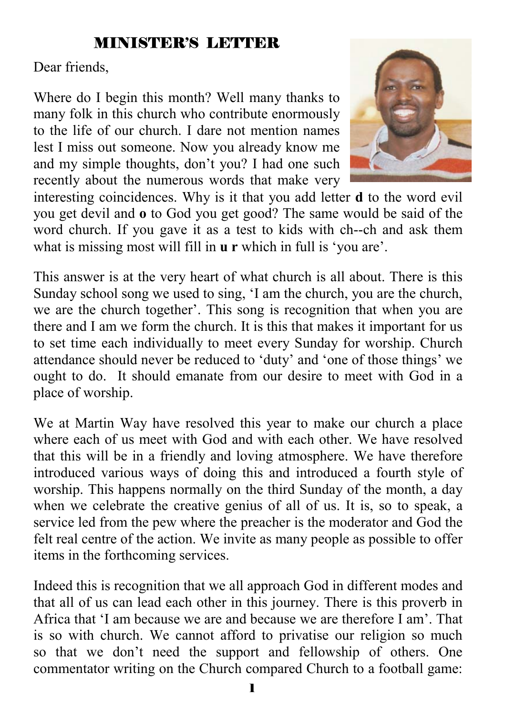#### MINISTER'S LETTER

Dear friends,

Where do I begin this month? Well many thanks to many folk in this church who contribute enormously to the life of our church. I dare not mention names lest I miss out someone. Now you already know me and my simple thoughts, don't you? I had one such recently about the numerous words that make very



interesting coincidences. Why is it that you add letter **d** to the word evil you get devil and **o** to God you get good? The same would be said of the word church. If you gave it as a test to kids with ch--ch and ask them what is missing most will fill in **u r** which in full is 'you are'.

This answer is at the very heart of what church is all about. There is this Sunday school song we used to sing, 'I am the church, you are the church, we are the church together'. This song is recognition that when you are there and I am we form the church. It is this that makes it important for us to set time each individually to meet every Sunday for worship. Church attendance should never be reduced to 'duty' and 'one of those things' we ought to do. It should emanate from our desire to meet with God in a place of worship.

We at Martin Way have resolved this year to make our church a place where each of us meet with God and with each other. We have resolved that this will be in a friendly and loving atmosphere. We have therefore introduced various ways of doing this and introduced a fourth style of worship. This happens normally on the third Sunday of the month, a day when we celebrate the creative genius of all of us. It is, so to speak, a service led from the pew where the preacher is the moderator and God the felt real centre of the action. We invite as many people as possible to offer items in the forthcoming services.

Indeed this is recognition that we all approach God in different modes and that all of us can lead each other in this journey. There is this proverb in Africa that 'I am because we are and because we are therefore I am'. That is so with church. We cannot afford to privatise our religion so much so that we don't need the support and fellowship of others. One commentator writing on the Church compared Church to a football game: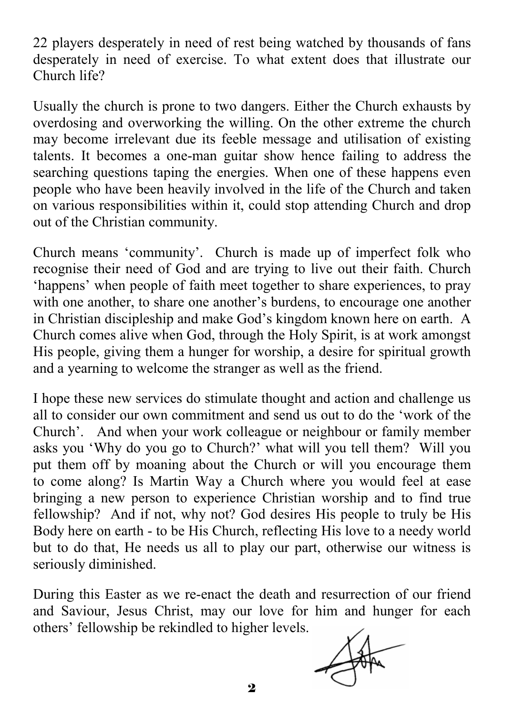22 players desperately in need of rest being watched by thousands of fans desperately in need of exercise. To what extent does that illustrate our Church life?

Usually the church is prone to two dangers. Either the Church exhausts by overdosing and overworking the willing. On the other extreme the church may become irrelevant due its feeble message and utilisation of existing talents. It becomes a one-man guitar show hence failing to address the searching questions taping the energies. When one of these happens even people who have been heavily involved in the life of the Church and taken on various responsibilities within it, could stop attending Church and drop out of the Christian community.

Church means 'community'. Church is made up of imperfect folk who recognise their need of God and are trying to live out their faith. Church 'happens' when people of faith meet together to share experiences, to pray with one another, to share one another's burdens, to encourage one another in Christian discipleship and make God's kingdom known here on earth. A Church comes alive when God, through the Holy Spirit, is at work amongst His people, giving them a hunger for worship, a desire for spiritual growth and a yearning to welcome the stranger as well as the friend.

I hope these new services do stimulate thought and action and challenge us all to consider our own commitment and send us out to do the 'work of the Church'. And when your work colleague or neighbour or family member asks you 'Why do you go to Church?' what will you tell them? Will you put them off by moaning about the Church or will you encourage them to come along? Is Martin Way a Church where you would feel at ease bringing a new person to experience Christian worship and to find true fellowship? And if not, why not? God desires His people to truly be His Body here on earth - to be His Church, reflecting His love to a needy world but to do that, He needs us all to play our part, otherwise our witness is seriously diminished.

During this Easter as we re-enact the death and resurrection of our friend and Saviour, Jesus Christ, may our love for him and hunger for each others' fellowship be rekindled to higher levels.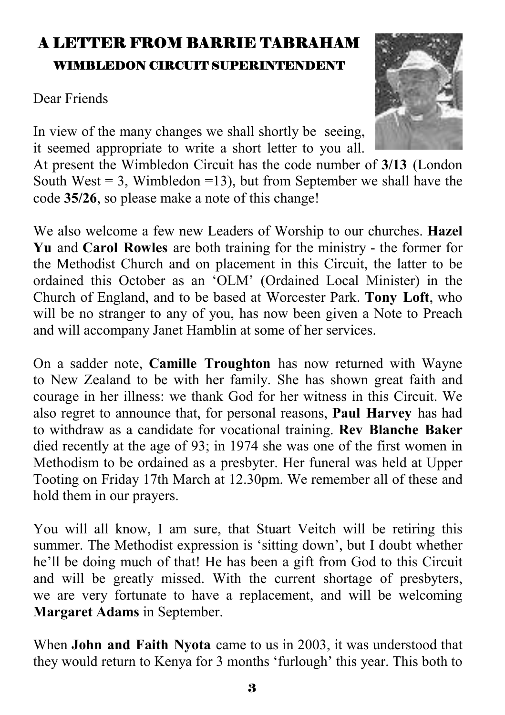## A LETTER FROM BARRIE TABRAHAM WIMBLEDON CIRCUIT SUPERINTENDENT

Dear Friends

In view of the many changes we shall shortly be seeing, it seemed appropriate to write a short letter to you all.

At present the Wimbledon Circuit has the code number of **3/13** (London South West  $= 3$ , Wimbledon  $= 13$ ), but from September we shall have the code **35/26**, so please make a note of this change!

We also welcome a few new Leaders of Worship to our churches. **Hazel Yu** and **Carol Rowles** are both training for the ministry - the former for the Methodist Church and on placement in this Circuit, the latter to be ordained this October as an 'OLM' (Ordained Local Minister) in the Church of England, and to be based at Worcester Park. **Tony Loft**, who will be no stranger to any of you, has now been given a Note to Preach and will accompany Janet Hamblin at some of her services.

On a sadder note, **Camille Troughton** has now returned with Wayne to New Zealand to be with her family. She has shown great faith and courage in her illness: we thank God for her witness in this Circuit. We also regret to announce that, for personal reasons, **Paul Harvey** has had to withdraw as a candidate for vocational training. **Rev Blanche Baker**  died recently at the age of 93; in 1974 she was one of the first women in Methodism to be ordained as a presbyter. Her funeral was held at Upper Tooting on Friday 17th March at 12.30pm. We remember all of these and hold them in our prayers.

You will all know, I am sure, that Stuart Veitch will be retiring this summer. The Methodist expression is 'sitting down', but I doubt whether he'll be doing much of that! He has been a gift from God to this Circuit and will be greatly missed. With the current shortage of presbyters, we are very fortunate to have a replacement, and will be welcoming **Margaret Adams** in September.

When **John and Faith Nyota** came to us in 2003, it was understood that they would return to Kenya for 3 months 'furlough' this year. This both to

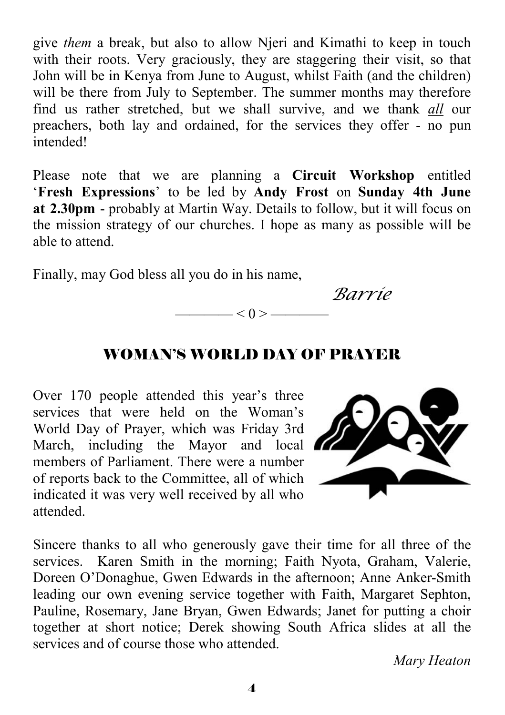give *them* a break, but also to allow Njeri and Kimathi to keep in touch with their roots. Very graciously, they are staggering their visit, so that John will be in Kenya from June to August, whilst Faith (and the children) will be there from July to September. The summer months may therefore find us rather stretched, but we shall survive, and we thank *all* our preachers, both lay and ordained, for the services they offer - no pun intended!

Please note that we are planning a **Circuit Workshop** entitled '**Fresh Expressions**' to be led by **Andy Frost** on **Sunday 4th June at 2.30pm** - probably at Martin Way. Details to follow, but it will focus on the mission strategy of our churches. I hope as many as possible will be able to attend.

Finally, may God bless all you do in his name,

*Barrie*

#### WOMAN'S WORLD DAY OF PRAYER

 $\frac{-1}{0}$  < 0 > -

Over 170 people attended this year's three services that were held on the Woman's World Day of Prayer, which was Friday 3rd March, including the Mayor and local members of Parliament. There were a number of reports back to the Committee, all of which indicated it was very well received by all who attended.



Sincere thanks to all who generously gave their time for all three of the services. Karen Smith in the morning; Faith Nyota, Graham, Valerie, Doreen O'Donaghue, Gwen Edwards in the afternoon; Anne Anker-Smith leading our own evening service together with Faith, Margaret Sephton, Pauline, Rosemary, Jane Bryan, Gwen Edwards; Janet for putting a choir together at short notice; Derek showing South Africa slides at all the services and of course those who attended.

 *Mary Heaton*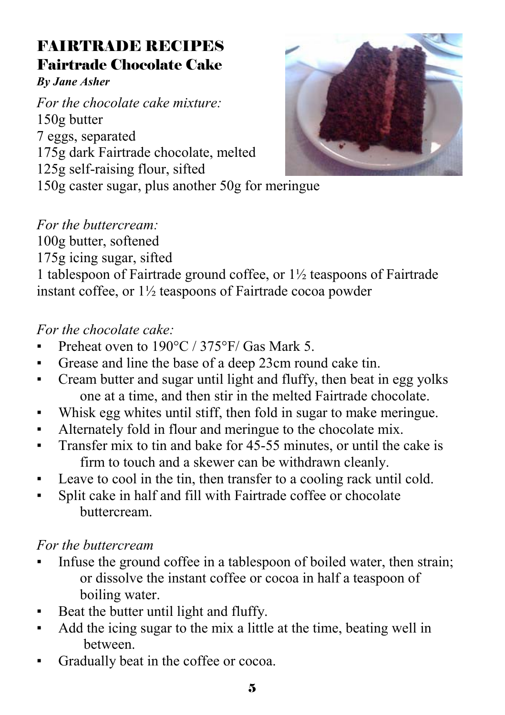## FAIRTRADE RECIPES Fairtrade Chocolate Cake

#### *By Jane Asher*

*For the chocolate cake mixture:* 150g butter 7 eggs, separated 175g dark Fairtrade chocolate, melted 125g self-raising flour, sifted



150g caster sugar, plus another 50g for meringue

#### *For the buttercream:*

100g butter, softened

175g icing sugar, sifted

1 tablespoon of Fairtrade ground coffee, or 1½ teaspoons of Fairtrade instant coffee, or 1½ teaspoons of Fairtrade cocoa powder

#### *For the chocolate cake:*

- **Preheat oven to 190 °C / 375 °F/ Gas Mark 5.**
- Grease and line the base of a deep 23cm round cake tin.
- Cream butter and sugar until light and fluffy, then beat in egg yolks one at a time, and then stir in the melted Fairtrade chocolate.
- Whisk egg whites until stiff, then fold in sugar to make meringue.
- Alternately fold in flour and meringue to the chocolate mix.
- **•** Transfer mix to tin and bake for 45-55 minutes, or until the cake is firm to touch and a skewer can be withdrawn cleanly.
- Leave to cool in the tin, then transfer to a cooling rack until cold.
- Split cake in half and fill with Fairtrade coffee or chocolate buttercream.

#### *For the buttercream*

- Infuse the ground coffee in a tablespoon of boiled water, then strain; or dissolve the instant coffee or cocoa in half a teaspoon of boiling water.
- Beat the butter until light and fluffy.
- Add the icing sugar to the mix a little at the time, beating well in between.
- Gradually beat in the coffee or cocoa.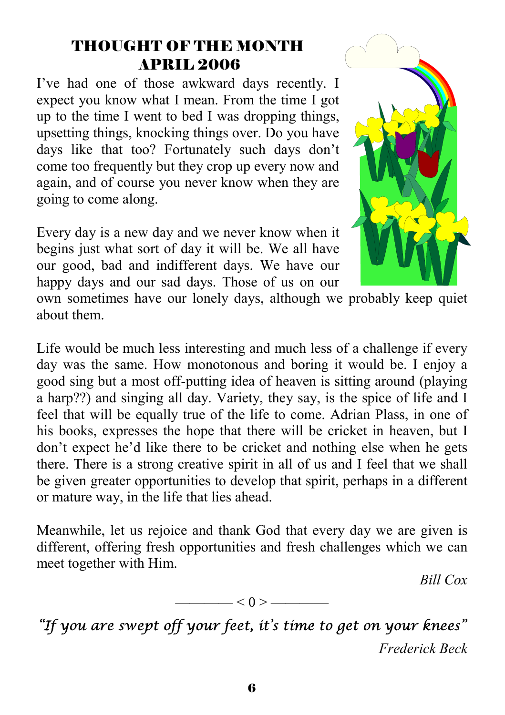#### THOUGHT OF THE MONTH APRIL 2006

I've had one of those awkward days recently. I expect you know what I mean. From the time I got up to the time I went to bed I was dropping things, upsetting things, knocking things over. Do you have days like that too? Fortunately such days don't come too frequently but they crop up every now and again, and of course you never know when they are going to come along.

Every day is a new day and we never know when it begins just what sort of day it will be. We all have our good, bad and indifferent days. We have our happy days and our sad days. Those of us on our



own sometimes have our lonely days, although we probably keep quiet about them.

Life would be much less interesting and much less of a challenge if every day was the same. How monotonous and boring it would be. I enjoy a good sing but a most off-putting idea of heaven is sitting around (playing a harp??) and singing all day. Variety, they say, is the spice of life and I feel that will be equally true of the life to come. Adrian Plass, in one of his books, expresses the hope that there will be cricket in heaven, but I don't expect he'd like there to be cricket and nothing else when he gets there. There is a strong creative spirit in all of us and I feel that we shall be given greater opportunities to develop that spirit, perhaps in a different or mature way, in the life that lies ahead.

Meanwhile, let us rejoice and thank God that every day we are given is different, offering fresh opportunities and fresh challenges which we can meet together with Him.

*Bill Cox* 

$$
\overbrace{\hspace{1.5cm}}<0>\overbrace{\hspace{1.5cm}}
$$

*"If you are swept off your feet, it's time to get on your knees" Frederick Beck*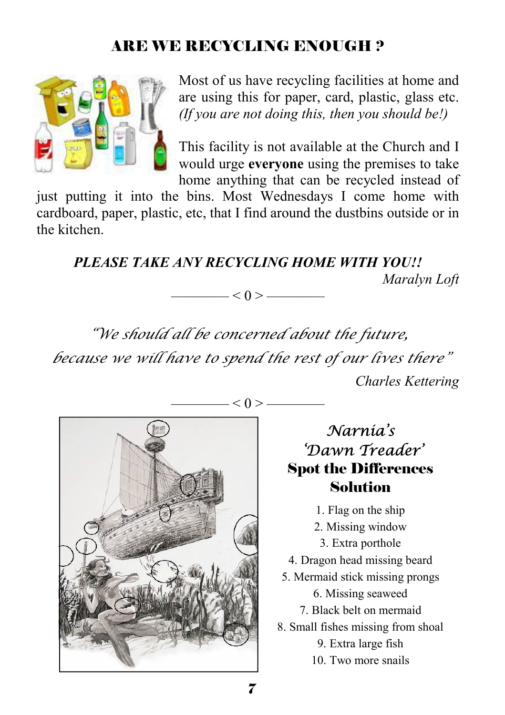### ARE WE RECYCLING ENOUGH ?



Most of us have recycling facilities at home and are using this for paper, card, plastic, glass etc. *(If you are not doing this, then you should be!)* 

This facility is not available at the Church and I would urge **everyone** using the premises to take home anything that can be recycled instead of

just putting it into the bins. Most Wednesdays I come home with cardboard, paper, plastic, etc, that I find around the dustbins outside or in the kitchen.

*PLEASE TAKE ANY RECYCLING HOME WITH YOU!! Maralyn Loft*   $\qquad$   $\qquad$   $\qquad$   $\qquad$   $\qquad$   $\qquad$   $\qquad$   $\qquad$   $\qquad$   $\qquad$   $\qquad$   $\qquad$   $\qquad$   $\qquad$   $\qquad$   $\qquad$   $\qquad$   $\qquad$   $\qquad$   $\qquad$   $\qquad$   $\qquad$   $\qquad$   $\qquad$   $\qquad$   $\qquad$   $\qquad$   $\qquad$   $\qquad$   $\qquad$   $\qquad$   $\qquad$   $\qquad$   $\qquad$   $\qquad$   $\qquad$   $\qquad$ 

*"We should all be concerned about the future, because we will have to spend the rest of our lives there" Charles Kettering* 



## *Narnia's 'Dawn Treader'*  Spot the Differences Solution

- 1. Flag on the ship
- 2. Missing window
- 3. Extra porthole
- 4. Dragon head missing beard
- 5. Mermaid stick missing prongs
	- 6. Missing seaweed
	- 7. Black belt on mermaid
- 8. Small fishes missing from shoal
	- 9. Extra large fish
	- 10. Two more snails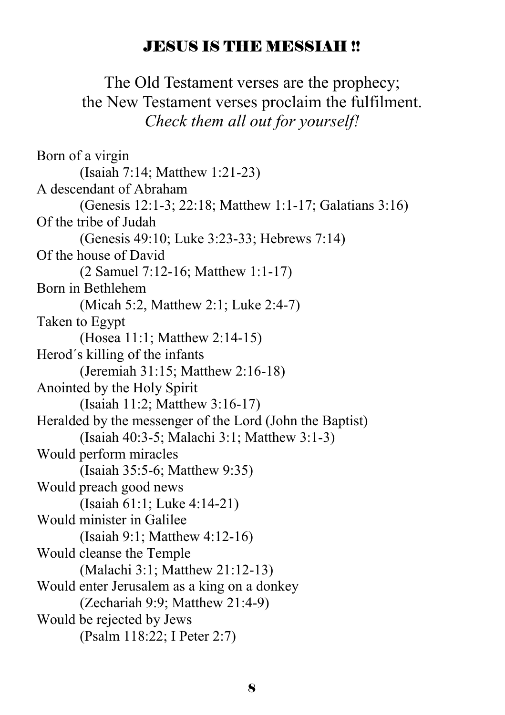#### JESUS IS THE MESSIAH !!

The Old Testament verses are the prophecy; the New Testament verses proclaim the fulfilment. *Check them all out for yourself!* 

Born of a virgin (Isaiah 7:14; Matthew 1:21-23) A descendant of Abraham (Genesis 12:1-3; 22:18; Matthew 1:1-17; Galatians 3:16) Of the tribe of Judah (Genesis 49:10; Luke 3:23-33; Hebrews 7:14) Of the house of David (2 Samuel 7:12-16; Matthew 1:1-17) Born in Bethlehem (Micah 5:2, Matthew 2:1; Luke 2:4-7) Taken to Egypt (Hosea 11:1; Matthew 2:14-15) Herod´s killing of the infants (Jeremiah 31:15; Matthew 2:16-18) Anointed by the Holy Spirit (Isaiah 11:2; Matthew 3:16-17) Heralded by the messenger of the Lord (John the Baptist) (Isaiah 40:3-5; Malachi 3:1; Matthew 3:1-3) Would perform miracles (Isaiah 35:5-6; Matthew 9:35) Would preach good news (Isaiah 61:1; Luke 4:14-21) Would minister in Galilee (Isaiah 9:1; Matthew 4:12-16) Would cleanse the Temple (Malachi 3:1; Matthew 21:12-13) Would enter Jerusalem as a king on a donkey (Zechariah 9:9; Matthew 21:4-9) Would be rejected by Jews (Psalm 118:22; I Peter 2:7)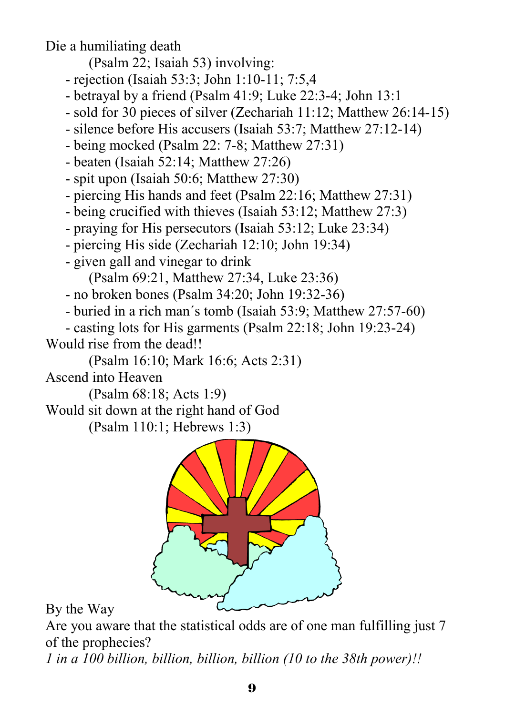Die a humiliating death

(Psalm 22; Isaiah 53) involving:

- rejection (Isaiah 53:3; John 1:10-11; 7:5,4
- betrayal by a friend (Psalm 41:9; Luke 22:3-4; John 13:1
- sold for 30 pieces of silver (Zechariah 11:12; Matthew 26:14-15)
- silence before His accusers (Isaiah 53:7; Matthew 27:12-14)
- being mocked (Psalm 22: 7-8; Matthew 27:31)
- beaten (Isaiah 52:14; Matthew 27:26)
- spit upon (Isaiah 50:6; Matthew 27:30)
- piercing His hands and feet (Psalm 22:16; Matthew 27:31)
- being crucified with thieves (Isaiah 53:12; Matthew 27:3)
- praying for His persecutors (Isaiah 53:12; Luke 23:34)
- piercing His side (Zechariah 12:10; John 19:34)
- given gall and vinegar to drink

(Psalm 69:21, Matthew 27:34, Luke 23:36)

- no broken bones (Psalm 34:20; John 19:32-36)
- buried in a rich man´s tomb (Isaiah 53:9; Matthew 27:57-60)

- casting lots for His garments (Psalm 22:18; John 19:23-24)

Would rise from the dead!!

(Psalm 16:10; Mark 16:6; Acts 2:31)

Ascend into Heaven

(Psalm 68:18; Acts 1:9)

Would sit down at the right hand of God

(Psalm 110:1; Hebrews 1:3)



#### By the Way

Are you aware that the statistical odds are of one man fulfilling just 7 of the prophecies?

*1 in a 100 billion, billion, billion, billion (10 to the 38th power)!!*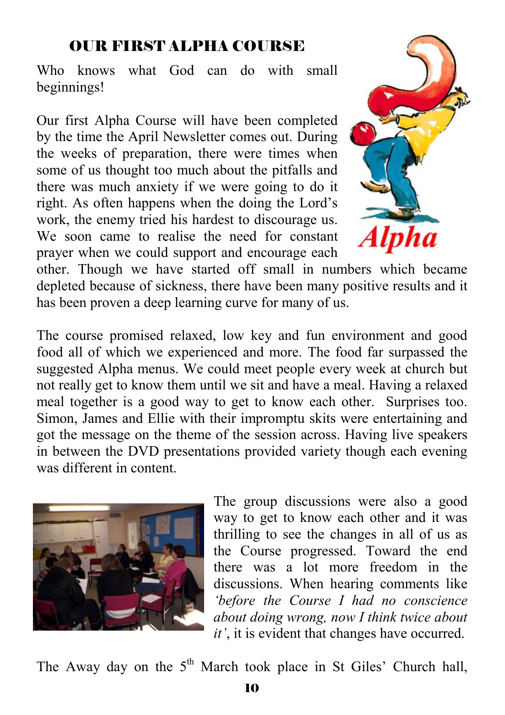#### OUR FIRST ALPHA COURSE

Who knows what God can do with small beginnings!

Our first Alpha Course will have been completed by the time the April Newsletter comes out. During the weeks of preparation, there were times when some of us thought too much about the pitfalls and there was much anxiety if we were going to do it right. As often happens when the doing the Lord's work, the enemy tried his hardest to discourage us. We soon came to realise the need for constant prayer when we could support and encourage each



other. Though we have started off small in numbers which became depleted because of sickness, there have been many positive results and it has been proven a deep learning curve for many of us.

The course promised relaxed, low key and fun environment and good food all of which we experienced and more. The food far surpassed the suggested Alpha menus. We could meet people every week at church but not really get to know them until we sit and have a meal. Having a relaxed meal together is a good way to get to know each other. Surprises too. Simon, James and Ellie with their impromptu skits were entertaining and got the message on the theme of the session across. Having live speakers in between the DVD presentations provided variety though each evening was different in content.



The group discussions were also a good way to get to know each other and it was thrilling to see the changes in all of us as the Course progressed. Toward the end there was a lot more freedom in the discussions. When hearing comments like *'before the Course I had no conscience about doing wrong, now I think twice about it'*, it is evident that changes have occurred.

The Away day on the  $5<sup>th</sup>$  March took place in St Giles' Church hall,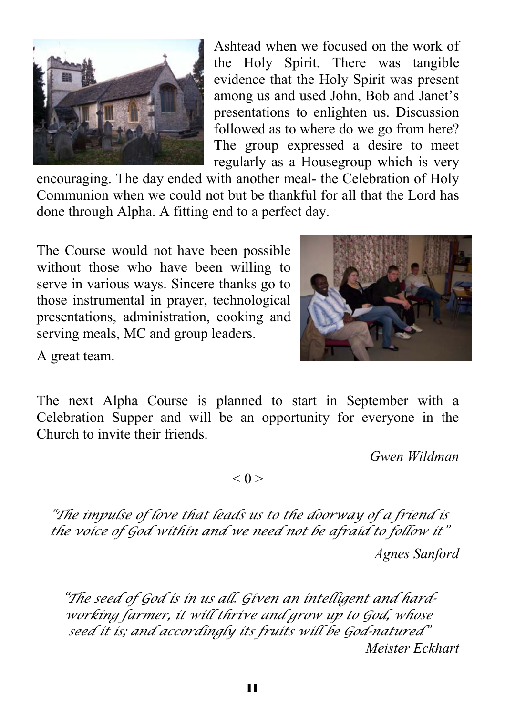

Ashtead when we focused on the work of the Holy Spirit. There was tangible evidence that the Holy Spirit was present among us and used John, Bob and Janet's presentations to enlighten us. Discussion followed as to where do we go from here? The group expressed a desire to meet regularly as a Housegroup which is very

encouraging. The day ended with another meal- the Celebration of Holy Communion when we could not but be thankful for all that the Lord has done through Alpha. A fitting end to a perfect day.

The Course would not have been possible without those who have been willing to serve in various ways. Sincere thanks go to those instrumental in prayer, technological presentations, administration, cooking and serving meals, MC and group leaders.



A great team.

The next Alpha Course is planned to start in September with a Celebration Supper and will be an opportunity for everyone in the Church to invite their friends.

*Gwen Wildman* 



*"The impulse of love that leads us to the doorway of a friend is the voice of God within and we need not be afraid to follow it" Agnes Sanford* 

*"The seed of God is in us all. Given an intelligent and hardworking farmer, it will thrive and grow up to God, whose seed it is; and accordingly its fruits will be God-natured" Meister Eckhart*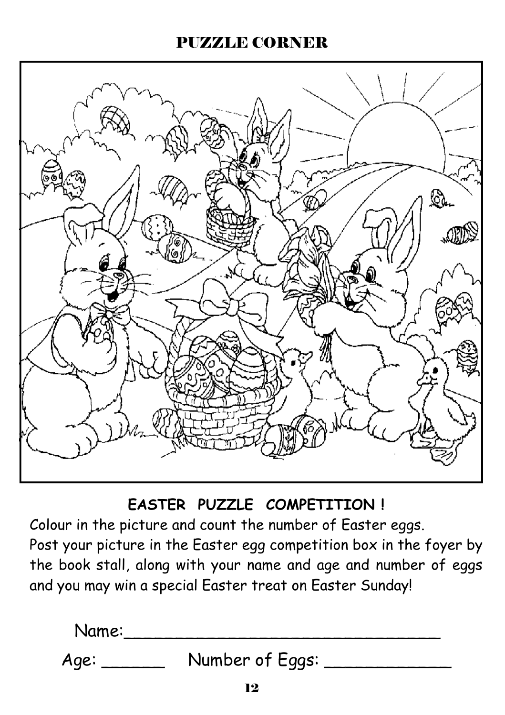#### PUZZLE CORNER



**EASTER PUZZLE COMPETITION !** 

Colour in the picture and count the number of Easter eggs. Post your picture in the Easter egg competition box in the foyer by

the book stall, along with your name and age and number of eggs and you may win a special Easter treat on Easter Sunday!

| Name: |                 |  |
|-------|-----------------|--|
| Age:  | Number of Eggs: |  |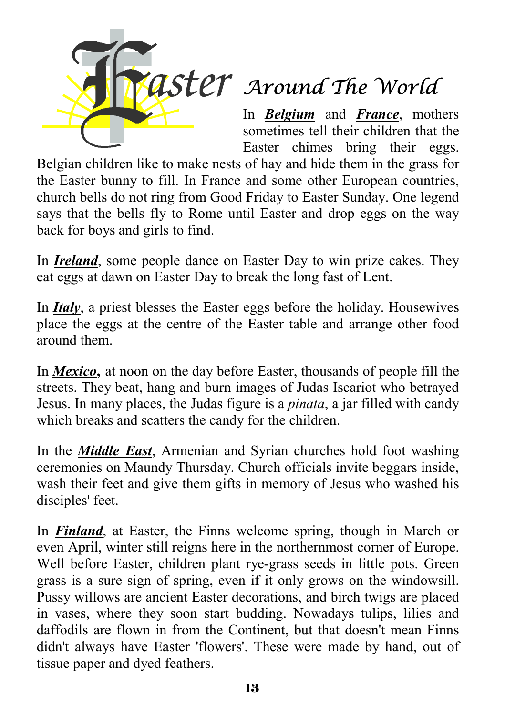

# *ASTET* Around The World

In *Belgium* and *France*, mothers sometimes tell their children that the Easter chimes bring their eggs.

Belgian children like to make nests of hay and hide them in the grass for the Easter bunny to fill. In France and some other European countries, church bells do not ring from Good Friday to Easter Sunday. One legend says that the bells fly to Rome until Easter and drop eggs on the way back for boys and girls to find.

In *Ireland*, some people dance on Easter Day to win prize cakes. They eat eggs at dawn on Easter Day to break the long fast of Lent.

In *Italy*, a priest blesses the Easter eggs before the holiday. Housewives place the eggs at the centre of the Easter table and arrange other food around them.

In *Mexico***,** at noon on the day before Easter, thousands of people fill the streets. They beat, hang and burn images of Judas Iscariot who betrayed Jesus. In many places, the Judas figure is a *pinata*, a jar filled with candy which breaks and scatters the candy for the children.

In the *Middle East*, Armenian and Syrian churches hold foot washing ceremonies on Maundy Thursday. Church officials invite beggars inside, wash their feet and give them gifts in memory of Jesus who washed his disciples' feet.

In *Finland*, at Easter, the Finns welcome spring, though in March or even April, winter still reigns here in the northernmost corner of Europe. Well before Easter, children plant rye-grass seeds in little pots. Green grass is a sure sign of spring, even if it only grows on the windowsill. Pussy willows are ancient Easter decorations, and birch twigs are placed in vases, where they soon start budding. Nowadays tulips, lilies and daffodils are flown in from the Continent, but that doesn't mean Finns didn't always have Easter 'flowers'. These were made by hand, out of tissue paper and dyed feathers.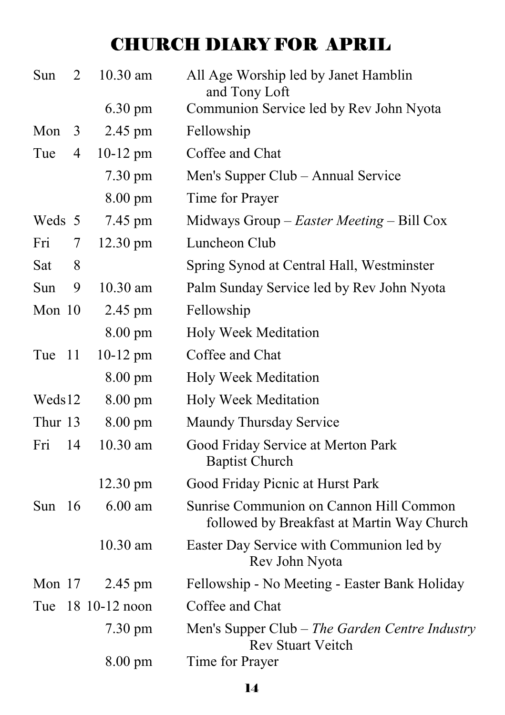# CHURCH DIARY FOR APRIL

| Sun      | $\overline{2}$ | 10.30 am          | All Age Worship led by Janet Hamblin<br>and Tony Loft                                 |
|----------|----------------|-------------------|---------------------------------------------------------------------------------------|
|          |                | $6.30 \text{ pm}$ | Communion Service led by Rev John Nyota                                               |
| Mon      | 3              | 2.45 pm           | Fellowship                                                                            |
| Tue      | $\overline{4}$ | $10-12$ pm        | Coffee and Chat                                                                       |
|          |                | $7.30 \text{ pm}$ | Men's Supper Club – Annual Service                                                    |
|          |                | $8.00 \text{ pm}$ | Time for Prayer                                                                       |
| Weds 5   |                | 7.45 pm           | Midways Group $-$ <i>Easter Meeting</i> $-$ Bill Cox                                  |
| Fri      | 7              | 12.30 pm          | Luncheon Club                                                                         |
| Sat      | 8              |                   | Spring Synod at Central Hall, Westminster                                             |
| Sun      | 9              | 10.30 am          | Palm Sunday Service led by Rev John Nyota                                             |
| Mon 10   |                | 2.45 pm           | Fellowship                                                                            |
|          |                | $8.00 \text{ pm}$ | <b>Holy Week Meditation</b>                                                           |
| Tue      | 11             | $10-12$ pm        | Coffee and Chat                                                                       |
|          |                | 8.00 pm           | Holy Week Meditation                                                                  |
| Weds12   |                | $8.00 \text{ pm}$ | Holy Week Meditation                                                                  |
| Thur 13  |                | 8.00 pm           | Maundy Thursday Service                                                               |
| Fri      | 14             | 10.30 am          | Good Friday Service at Merton Park<br><b>Baptist Church</b>                           |
|          |                | 12.30 pm          | Good Friday Picnic at Hurst Park                                                      |
| Sun      | -16            | $6.00$ am         | Sunrise Communion on Cannon Hill Common<br>followed by Breakfast at Martin Way Church |
|          |                | 10.30 am          | Easter Day Service with Communion led by<br>Rev John Nyota                            |
| Mon $17$ |                | 2.45 pm           | Fellowship - No Meeting - Easter Bank Holiday                                         |
| Tue      |                | 18 10-12 noon     | Coffee and Chat                                                                       |
|          |                | 7.30 pm           | Men's Supper Club - The Garden Centre Industry<br><b>Rev Stuart Veitch</b>            |
|          |                | $8.00 \text{ pm}$ | Time for Prayer                                                                       |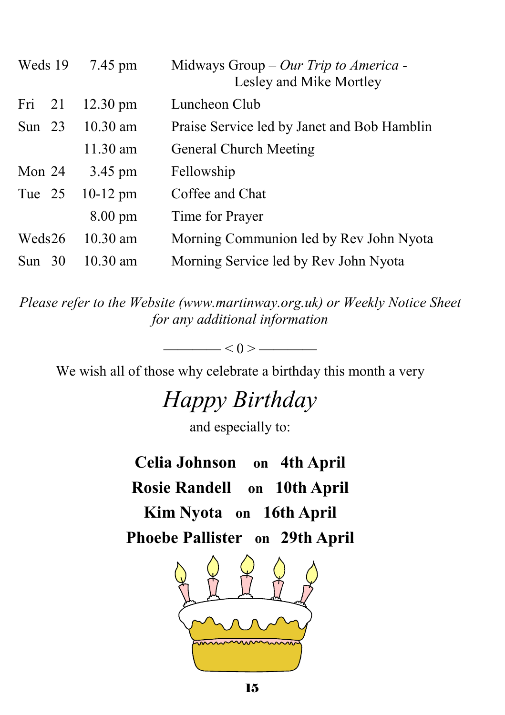| Weds 19  | 7.45 pm            | Midways Group - Our Trip to America -<br>Lesley and Mike Mortley |
|----------|--------------------|------------------------------------------------------------------|
| Fri $21$ | $12.30 \text{ pm}$ | Luncheon Club                                                    |
| Sun $23$ | $10.30$ am         | Praise Service led by Janet and Bob Hamblin                      |
|          | 11.30 am           | <b>General Church Meeting</b>                                    |
| Mon $24$ | 3.45 pm            | Fellowship                                                       |
| Tue 25   | $10-12$ pm         | Coffee and Chat                                                  |
|          | $8.00 \text{ pm}$  | Time for Prayer                                                  |
| Weds26   | $10.30$ am         | Morning Communion led by Rev John Nyota                          |
| Sun $30$ | $10.30$ am         | Morning Service led by Rev John Nyota                            |

*Please refer to the Website (www.martinway.org.uk) or Weekly Notice Sheet for any additional information* 

We wish all of those why celebrate a birthday this month a very

 $\leq 0$  >  $\qquad$ 

# *Happy Birthday*

and especially to:

**Celia Johnson on 4th April Rosie Randell on 10th April Kim Nyota on 16th April Phoebe Pallister on 29th April**